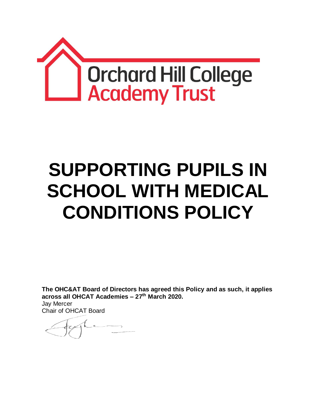

# **SUPPORTING PUPILS IN SCHOOL WITH MEDICAL CONDITIONS POLICY**

**The OHC&AT Board of Directors has agreed this Policy and as such, it applies across all OHCAT Academies – 27th March 2020.** Jay Mercer Chair of OHCAT Board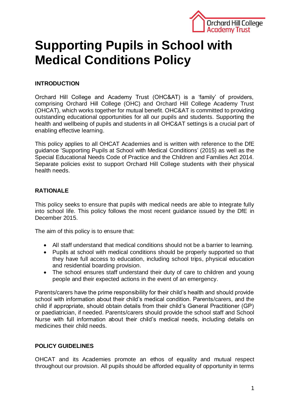

# **Supporting Pupils in School with Medical Conditions Policy**

# **INTRODUCTION**

Orchard Hill College and Academy Trust (OHC&AT) is a 'family' of providers, comprising Orchard Hill College (OHC) and Orchard Hill College Academy Trust (OHCAT), which works together for mutual benefit. OHC&AT is committed to providing outstanding educational opportunities for all our pupils and students. Supporting the health and wellbeing of pupils and students in all OHC&AT settings is a crucial part of enabling effective learning.

This policy applies to all OHCAT Academies and is written with reference to the DfE guidance 'Supporting Pupils at School with Medical Conditions' (2015) as well as the Special Educational Needs Code of Practice and the Children and Families Act 2014. Separate policies exist to support Orchard Hill College students with their physical health needs.

# **RATIONALE**

This policy seeks to ensure that pupils with medical needs are able to integrate fully into school life. This policy follows the most recent guidance issued by the DfE in December 2015.

The aim of this policy is to ensure that:

- All staff understand that medical conditions should not be a barrier to learning.
- Pupils at school with medical conditions should be properly supported so that they have full access to education, including school trips, physical education and residential boarding provision.
- The school ensures staff understand their duty of care to children and young people and their expected actions in the event of an emergency.

Parents/carers have the prime responsibility for their child's health and should provide school with information about their child's medical condition. Parents/carers, and the child if appropriate, should obtain details from their child's General Practitioner (GP) or paediatrician, if needed. Parents/carers should provide the school staff and School Nurse with full information about their child's medical needs, including details on medicines their child needs.

# **POLICY GUIDELINES**

OHCAT and its Academies promote an ethos of equality and mutual respect throughout our provision. All pupils should be afforded equality of opportunity in terms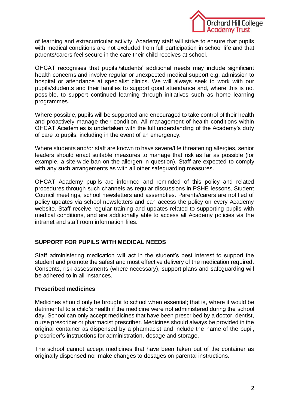

of learning and extracurricular activity. Academy staff will strive to ensure that pupils with medical conditions are not excluded from full participation in school life and that parents/carers feel secure in the care their child receives at school.

OHCAT recognises that pupils'/students' additional needs may include significant health concerns and involve regular or unexpected medical support e.g. admission to hospital or attendance at specialist clinics. We will always seek to work with our pupils/students and their families to support good attendance and, where this is not possible, to support continued learning through initiatives such as home learning programmes.

Where possible, pupils will be supported and encouraged to take control of their health and proactively manage their condition. All management of health conditions within OHCAT Academies is undertaken with the full understanding of the Academy's duty of care to pupils, including in the event of an emergency.

Where students and/or staff are known to have severe/life threatening allergies, senior leaders should enact suitable measures to manage that risk as far as possible (for example, a site-wide ban on the allergen in question). Staff are expected to comply with any such arrangements as with all other safeguarding measures.

OHCAT Academy pupils are informed and reminded of this policy and related procedures through such channels as regular discussions in PSHE lessons, Student Council meetings, school newsletters and assemblies. Parents/carers are notified of policy updates via school newsletters and can access the policy on every Academy website. Staff receive regular training and updates related to supporting pupils with medical conditions, and are additionally able to access all Academy policies via the intranet and staff room information files.

#### **SUPPORT FOR PUPILS WITH MEDICAL NEEDS**

Staff administering medication will act in the student's best interest to support the student and promote the safest and most effective delivery of the medication required. Consents, risk assessments (where necessary), support plans and safeguarding will be adhered to in all instances.

#### **Prescribed medicines**

Medicines should only be brought to school when essential; that is, where it would be detrimental to a child's health if the medicine were not administered during the school day. School can only accept medicines that have been prescribed by a doctor, dentist, nurse prescriber or pharmacist prescriber. Medicines should always be provided in the original container as dispensed by a pharmacist and include the name of the pupil, prescriber's instructions for administration, dosage and storage.

The school cannot accept medicines that have been taken out of the container as originally dispensed nor make changes to dosages on parental instructions.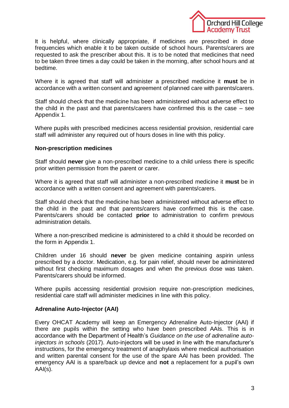

It is helpful, where clinically appropriate, if medicines are prescribed in dose frequencies which enable it to be taken outside of school hours. Parents/carers are requested to ask the prescriber about this. It is to be noted that medicines that need to be taken three times a day could be taken in the morning, after school hours and at bedtime.

Where it is agreed that staff will administer a prescribed medicine it **must** be in accordance with a written consent and agreement of planned care with parents/carers.

Staff should check that the medicine has been administered without adverse effect to the child in the past and that parents/carers have confirmed this is the case – see Appendix 1.

Where pupils with prescribed medicines access residential provision, residential care staff will administer any required out of hours doses in line with this policy.

#### **Non-prescription medicines**

Staff should **never** give a non-prescribed medicine to a child unless there is specific prior written permission from the parent or carer.

Where it is agreed that staff will administer a non-prescribed medicine it **must** be in accordance with a written consent and agreement with parents/carers.

Staff should check that the medicine has been administered without adverse effect to the child in the past and that parents/carers have confirmed this is the case. Parents/carers should be contacted **prior** to administration to confirm previous administration details.

Where a non-prescribed medicine is administered to a child it should be recorded on the form in Appendix 1.

Children under 16 should **never** be given medicine containing aspirin unless prescribed by a doctor. Medication, e.g. for pain relief, should never be administered without first checking maximum dosages and when the previous dose was taken. Parents/carers should be informed.

Where pupils accessing residential provision require non-prescription medicines, residential care staff will administer medicines in line with this policy.

#### **Adrenaline Auto-Injector (AAI)**

Every OHCAT Academy will keep an Emergency Adrenaline Auto-Injector (AAI) if there are pupils within the setting who have been prescribed AAIs. This is in accordance with the Department of Health's *Guidance on the use of adrenaline autoinjectors in schools* (2017). Auto-injectors will be used in line with the manufacturer's instructions, for the emergency treatment of anaphylaxis where medical authorisation and written parental consent for the use of the spare AAI has been provided. The emergency AAI is a spare/back up device and **not** a replacement for a pupil's own  $AAI(s)$ .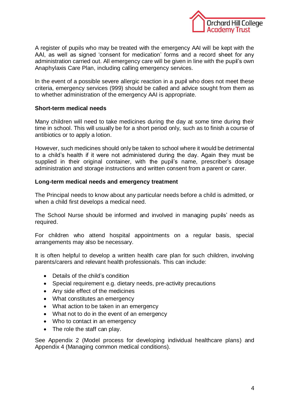

A register of pupils who may be treated with the emergency AAI will be kept with the AAI, as well as signed 'consent for medication' forms and a record sheet for any administration carried out. All emergency care will be given in line with the pupil's own Anaphylaxis Care Plan, including calling emergency services.

In the event of a possible severe allergic reaction in a pupil who does not meet these criteria, emergency services (999) should be called and advice sought from them as to whether administration of the emergency AAI is appropriate.

#### **Short-term medical needs**

Many children will need to take medicines during the day at some time during their time in school. This will usually be for a short period only, such as to finish a course of antibiotics or to apply a lotion.

However, such medicines should only be taken to school where it would be detrimental to a child's health if it were not administered during the day. Again they must be supplied in their original container, with the pupil's name, prescriber's dosage administration and storage instructions and written consent from a parent or carer.

#### **Long-term medical needs and emergency treatment**

The Principal needs to know about any particular needs before a child is admitted, or when a child first develops a medical need.

The School Nurse should be informed and involved in managing pupils' needs as required.

For children who attend hospital appointments on a regular basis, special arrangements may also be necessary.

It is often helpful to develop a written health care plan for such children, involving parents/carers and relevant health professionals. This can include:

- Details of the child's condition
- Special requirement e.g. dietary needs, pre-activity precautions
- Any side effect of the medicines
- What constitutes an emergency
- What action to be taken in an emergency
- What not to do in the event of an emergency
- Who to contact in an emergency
- The role the staff can play.

See Appendix 2 (Model process for developing individual healthcare plans) and Appendix 4 (Managing common medical conditions).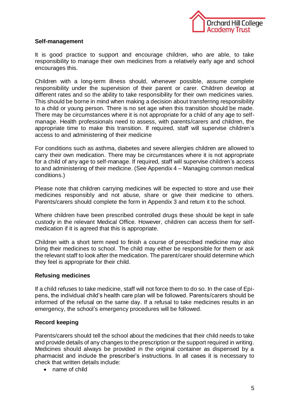

#### **Self-management**

It is good practice to support and encourage children, who are able, to take responsibility to manage their own medicines from a relatively early age and school encourages this.

Children with a long-term illness should, whenever possible, assume complete responsibility under the supervision of their parent or carer. Children develop at different rates and so the ability to take responsibility for their own medicines varies. This should be borne in mind when making a decision about transferring responsibility to a child or young person. There is no set age when this transition should be made. There may be circumstances where it is not appropriate for a child of any age to selfmanage. Health professionals need to assess, with parents/carers and children, the appropriate time to make this transition. If required, staff will supervise children's access to and administering of their medicine

For conditions such as asthma, diabetes and severe allergies children are allowed to carry their own medication. There may be circumstances where it is not appropriate for a child of any age to self-manage. If required, staff will supervise children's access to and administering of their medicine. (See Appendix 4 – Managing common medical conditions.)

Please note that children carrying medicines will be expected to store and use their medicines responsibly and not abuse, share or give their medicine to others. Parents/carers should complete the form in Appendix 3 and return it to the school.

Where children have been prescribed controlled drugs these should be kept in safe custody in the relevant Medical Office. However, children can access them for selfmedication if it is agreed that this is appropriate.

Children with a short term need to finish a course of prescribed medicine may also bring their medicines to school. The child may either be responsible for them or ask the relevant staff to look after the medication. The parent/carer should determine which they feel is appropriate for their child.

#### **Refusing medicines**

If a child refuses to take medicine, staff will not force them to do so. In the case of Epipens, the individual child's health care plan will be followed. Parents/carers should be informed of the refusal on the same day. If a refusal to take medicines results in an emergency, the school's emergency procedures will be followed.

#### **Record keeping**

Parents/carers should tell the school about the medicines that their child needs to take and provide details of any changes to the prescription or the support required in writing. Medicines should always be provided in the original container as dispensed by a pharmacist and include the prescriber's instructions. In all cases it is necessary to check that written details include:

• name of child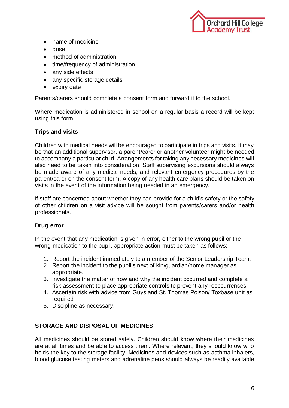

- name of medicine
- dose
- method of administration
- time/frequency of administration
- any side effects
- any specific storage details
- expiry date

Parents/carers should complete a consent form and forward it to the school.

Where medication is administered in school on a regular basis a record will be kept using this form.

#### **Trips and visits**

Children with medical needs will be encouraged to participate in trips and visits. It may be that an additional supervisor, a parent/carer or another volunteer might be needed to accompany a particular child. Arrangements for taking any necessary medicines will also need to be taken into consideration. Staff supervising excursions should always be made aware of any medical needs, and relevant emergency procedures by the parent/carer on the consent form. A copy of any health care plans should be taken on visits in the event of the information being needed in an emergency.

If staff are concerned about whether they can provide for a child's safety or the safety of other children on a visit advice will be sought from parents/carers and/or health professionals.

#### **Drug error**

In the event that any medication is given in error, either to the wrong pupil or the wrong medication to the pupil, appropriate action must be taken as follows:

- 1. Report the incident immediately to a member of the Senior Leadership Team.
- 2. Report the incident to the pupil's next of kin/guardian/home manager as appropriate.
- 3. Investigate the matter of how and why the incident occurred and complete a risk assessment to place appropriate controls to prevent any reoccurrences.
- 4. Ascertain risk with advice from Guys and St. Thomas Poison/ Toxbase unit as required
- 5. Discipline as necessary.

#### **STORAGE AND DISPOSAL OF MEDICINES**

All medicines should be stored safely. Children should know where their medicines are at all times and be able to access them. Where relevant, they should know who holds the key to the storage facility. Medicines and devices such as asthma inhalers, blood glucose testing meters and adrenaline pens should always be readily available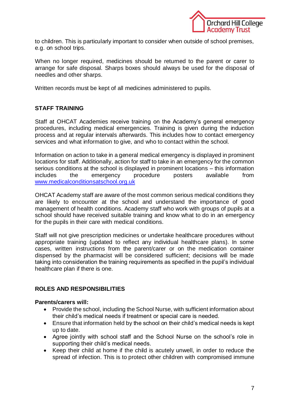

to children. This is particularly important to consider when outside of school premises, e.g. on school trips.

When no longer required, medicines should be returned to the parent or carer to arrange for safe disposal. Sharps boxes should always be used for the disposal of needles and other sharps.

Written records must be kept of all medicines administered to pupils.

# **STAFF TRAINING**

Staff at OHCAT Academies receive training on the Academy's general emergency procedures, including medical emergencies. Training is given during the induction process and at regular intervals afterwards. This includes how to contact emergency services and what information to give, and who to contact within the school.

Information on action to take in a general medical emergency is displayed in prominent locations for staff. Additionally, action for staff to take in an emergency for the common serious conditions at the school is displayed in prominent locations – this information includes the emergency procedure posters available from [www.medicalconditionsatschool.org.uk](http://www.medicalconditionsatschool.org.uk/)

OHCAT Academy staff are aware of the most common serious medical conditions they are likely to encounter at the school and understand the importance of good management of health conditions. Academy staff who work with groups of pupils at a school should have received suitable training and know what to do in an emergency for the pupils in their care with medical conditions.

Staff will not give prescription medicines or undertake healthcare procedures without appropriate training (updated to reflect any individual healthcare plans). In some cases, written instructions from the parent/carer or on the medication container dispensed by the pharmacist will be considered sufficient; decisions will be made taking into consideration the training requirements as specified in the pupil's individual healthcare plan if there is one.

#### **ROLES AND RESPONSIBILITIES**

#### **Parents/carers will:**

- Provide the school, including the School Nurse, with sufficient information about their child's medical needs if treatment or special care is needed.
- Ensure that information held by the school on their child's medical needs is kept up to date.
- Agree jointly with school staff and the School Nurse on the school's role in supporting their child's medical needs.
- Keep their child at home if the child is acutely unwell, in order to reduce the spread of infection. This is to protect other children with compromised immune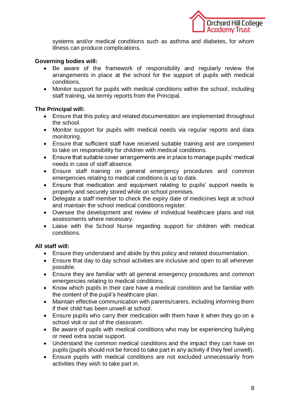

systems and/or medical conditions such as asthma and diabetes, for whom illness can produce complications.

## **Governing bodies will:**

- Be aware of the framework of responsibility and regularly review the arrangements in place at the school for the support of pupils with medical conditions.
- Monitor support for pupils with medical conditions within the school, including staff training, via termly reports from the Principal.

# **The Principal will:**

- Ensure that this policy and related documentation are implemented throughout the school.
- Monitor support for pupils with medical needs via regular reports and data monitoring.
- Ensure that sufficient staff have received suitable training and are competent to take on responsibility for children with medical conditions.
- Ensure that suitable cover arrangements are in place to manage pupils' medical needs in case of staff absence.
- Ensure staff training on general emergency procedures and common emergencies relating to medical conditions is up to date.
- Ensure that medication and equipment relating to pupils' support needs is properly and securely stored while on school premises.
- Delegate a staff member to check the expiry date of medicines kept at school and maintain the school medical conditions register.
- Oversee the development and review of individual healthcare plans and risk assessments where necessary.
- Liaise with the School Nurse regarding support for children with medical conditions.

# **All staff will:**

- Ensure they understand and abide by this policy and related documentation.
- Ensure that day to day school activities are inclusive and open to all wherever possible.
- Ensure they are familiar with all general emergency procedures and common emergencies relating to medical conditions.
- Know which pupils in their care have a medical condition and be familiar with the content of the pupil's healthcare plan.
- Maintain effective communication with parents/carers, including informing them if their child has been unwell at school.
- Ensure pupils who carry their medication with them have it when they go on a school visit or out of the classroom.
- Be aware of pupils with medical conditions who may be experiencing bullying or need extra social support.
- Understand the common medical conditions and the impact they can have on pupils (pupils should not be forced to take part in any activity if they feel unwell).
- Ensure pupils with medical conditions are not excluded unnecessarily from activities they wish to take part in.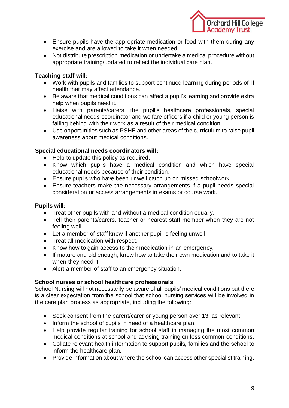

- Ensure pupils have the appropriate medication or food with them during any exercise and are allowed to take it when needed.
- Not distribute prescription medication or undertake a medical procedure without appropriate training/updated to reflect the individual care plan.

# **Teaching staff will:**

- Work with pupils and families to support continued learning during periods of ill health that may affect attendance.
- Be aware that medical conditions can affect a pupil's learning and provide extra help when pupils need it.
- Liaise with parents/carers, the pupil's healthcare professionals, special educational needs coordinator and welfare officers if a child or young person is falling behind with their work as a result of their medical condition.
- Use opportunities such as PSHE and other areas of the curriculum to raise pupil awareness about medical conditions.

#### **Special educational needs coordinators will:**

- Help to update this policy as required.
- Know which pupils have a medical condition and which have special educational needs because of their condition.
- Ensure pupils who have been unwell catch up on missed schoolwork.
- Ensure teachers make the necessary arrangements if a pupil needs special consideration or access arrangements in exams or course work.

## **Pupils will:**

- Treat other pupils with and without a medical condition equally.
- Tell their parents/carers, teacher or nearest staff member when they are not feeling well.
- Let a member of staff know if another pupil is feeling unwell.
- Treat all medication with respect.
- Know how to gain access to their medication in an emergency.
- If mature and old enough, know how to take their own medication and to take it when they need it.
- Alert a member of staff to an emergency situation.

#### **School nurses or school healthcare professionals**

School Nursing will not necessarily be aware of all pupils' medical conditions but there is a clear expectation from the school that school nursing services will be involved in the care plan process as appropriate, including the following:

- Seek consent from the parent/carer or young person over 13, as relevant.
- Inform the school of pupils in need of a healthcare plan.
- Help provide regular training for school staff in managing the most common medical conditions at school and advising training on less common conditions.
- Collate relevant health information to support pupils, families and the school to inform the healthcare plan.
- Provide information about where the school can access other specialist training.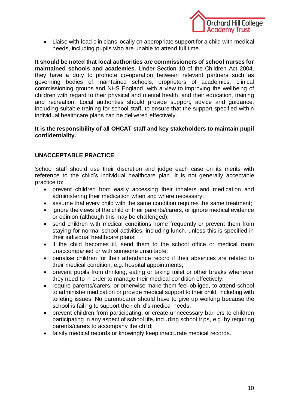

 Liaise with lead clinicians locally on appropriate support for a child with medical needs, including pupils who are unable to attend full time.

**It should be noted that local authorities are commissioners of school nurses for maintained schools and academies.** Under Section 10 of the Children Act 2004, they have a duty to promote co-operation between relevant partners such as governing bodies of maintained schools, proprietors of academies, clinical commissioning groups and NHS England, with a view to improving the wellbeing of children with regard to their physical and mental health, and their education, training and recreation. Local authorities should provide support, advice and guidance, including suitable training for school staff, to ensure that the support specified within individual healthcare plans can be delivered effectively.

#### **It is the responsibility of all OHCAT staff and key stakeholders to maintain pupil confidentiality.**

#### **UNACCEPTABLE PRACTICE**

School staff should use their discretion and judge each case on its merits with reference to the child's individual healthcare plan. It is not generally acceptable practice to:

- prevent children from easily accessing their inhalers and medication and administering their medication when and where necessary;
- assume that every child with the same condition requires the same treatment;
- ignore the views of the child or their parents/carers, or ignore medical evidence or opinion (although this may be challenged);
- send children with medical conditions home frequently or prevent them from staying for normal school activities, including lunch, unless this is specified in their individual healthcare plans;
- if the child becomes ill, send them to the school office or medical room unaccompanied or with someone unsuitable;
- penalise children for their attendance record if their absences are related to their medical condition, e.g. hospital appointments;
- prevent pupils from drinking, eating or taking toilet or other breaks whenever they need to in order to manage their medical condition effectively;
- require parents/carers, or otherwise make them feel obliged, to attend school to administer medication or provide medical support to their child, including with toileting issues. No parent/carer should have to give up working because the school is failing to support their child's medical needs;
- prevent children from participating, or create unnecessary barriers to children participating in any aspect of school life, including school trips, e.g. by requiring parents/carers to accompany the child;
- falsify medical records or knowingly keep inaccurate medical records.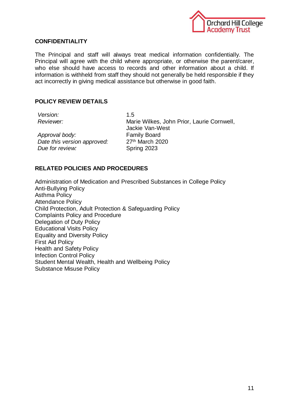

#### **CONFIDENTIALITY**

The Principal and staff will always treat medical information confidentially. The Principal will agree with the child where appropriate, or otherwise the parent/carer, who else should have access to records and other information about a child. If information is withheld from staff they should not generally be held responsible if they act incorrectly in giving medical assistance but otherwise in good faith.

#### **POLICY REVIEW DETAILS**

*Version:* 1.5

*Approval body:* Family Board *Date this version approved:* 27th March 2020 **Due for review:** Spring 2023

*Reviewer:* Marie Wilkes, John Prior, Laurie Cornwell, Jackie Van-West

#### **RELATED POLICIES AND PROCEDURES**

Administration of Medication and Prescribed Substances in College Policy Anti-Bullying Policy Asthma Policy Attendance Policy Child Protection, Adult Protection & Safeguarding Policy Complaints Policy and Procedure Delegation of Duty Policy Educational Visits Policy Equality and Diversity Policy First Aid Policy Health and Safety Policy Infection Control Policy Student Mental Wealth, Health and Wellbeing Policy Substance Misuse Policy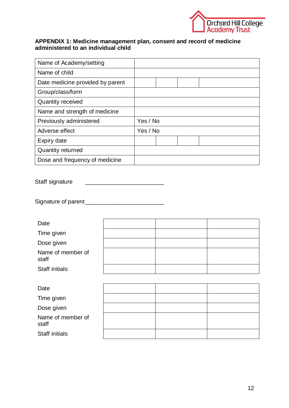

#### **APPENDIX 1: Medicine management plan, consent and record of medicine administered to an individual child**

| Name of Academy/setting          |          |
|----------------------------------|----------|
| Name of child                    |          |
| Date medicine provided by parent |          |
| Group/class/form                 |          |
| <b>Quantity received</b>         |          |
| Name and strength of medicine    |          |
| Previously administered          | Yes / No |
| Adverse effect                   | Yes / No |
| Expiry date                      |          |
| <b>Quantity returned</b>         |          |
| Dose and frequency of medicine   |          |

Staff signature \_\_\_\_\_\_\_\_\_\_\_\_\_\_\_\_\_\_\_\_\_\_\_\_\_

Signature of parent\_\_\_\_\_\_\_\_\_\_\_\_\_\_\_\_\_\_\_\_\_\_\_\_\_

| Date                       |  |  |
|----------------------------|--|--|
| Time given                 |  |  |
| Dose given                 |  |  |
| Name of member of<br>staff |  |  |
| <b>Staff initials</b>      |  |  |
|                            |  |  |
| Date                       |  |  |
| Time given                 |  |  |
| Dose given                 |  |  |
| Name of member of<br>staff |  |  |
| <b>Staff initials</b>      |  |  |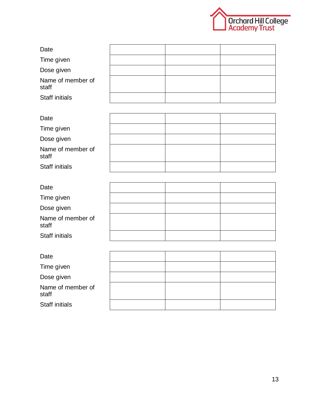

| Date                       |  |  |
|----------------------------|--|--|
| Time given                 |  |  |
| Dose given                 |  |  |
| Name of member of<br>staff |  |  |
| <b>Staff initials</b>      |  |  |

| Date                       |  |  |
|----------------------------|--|--|
| Time given                 |  |  |
| Dose given                 |  |  |
| Name of member of<br>staff |  |  |
| <b>Staff initials</b>      |  |  |

| Date                       |  |  |
|----------------------------|--|--|
| Time given                 |  |  |
| Dose given                 |  |  |
| Name of member of<br>staff |  |  |
| <b>Staff initials</b>      |  |  |

| Date                       |  |  |
|----------------------------|--|--|
| Time given                 |  |  |
| Dose given                 |  |  |
| Name of member of<br>staff |  |  |
| <b>Staff initials</b>      |  |  |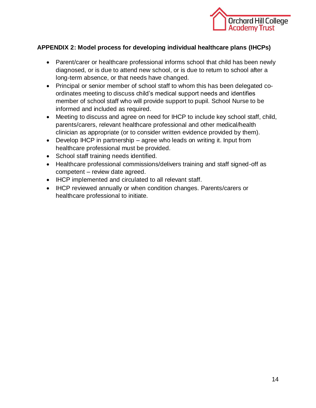

# **APPENDIX 2: Model process for developing individual healthcare plans (IHCPs)**

- Parent/carer or healthcare professional informs school that child has been newly diagnosed, or is due to attend new school, or is due to return to school after a long-term absence, or that needs have changed.
- Principal or senior member of school staff to whom this has been delegated coordinates meeting to discuss child's medical support needs and identifies member of school staff who will provide support to pupil. School Nurse to be informed and included as required.
- Meeting to discuss and agree on need for IHCP to include key school staff, child, parents/carers, relevant healthcare professional and other medical/health clinician as appropriate (or to consider written evidence provided by them).
- Develop IHCP in partnership agree who leads on writing it. Input from healthcare professional must be provided.
- School staff training needs identified.
- Healthcare professional commissions/delivers training and staff signed-off as competent – review date agreed.
- IHCP implemented and circulated to all relevant staff.
- IHCP reviewed annually or when condition changes. Parents/carers or healthcare professional to initiate.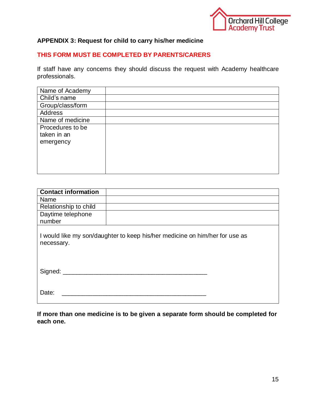

# **APPENDIX 3: Request for child to carry his/her medicine**

# **THIS FORM MUST BE COMPLETED BY PARENTS/CARERS**

If staff have any concerns they should discuss the request with Academy healthcare professionals.

| Name of Academy  |  |
|------------------|--|
| Child's name     |  |
| Group/class/form |  |
| <b>Address</b>   |  |
| Name of medicine |  |
| Procedures to be |  |
| taken in an      |  |
| emergency        |  |
|                  |  |
|                  |  |
|                  |  |
|                  |  |

| <b>Contact information</b> |                                                                             |
|----------------------------|-----------------------------------------------------------------------------|
| Name                       |                                                                             |
| Relationship to child      |                                                                             |
| Daytime telephone          |                                                                             |
| number                     |                                                                             |
| necessary.                 | I would like my son/daughter to keep his/her medicine on him/her for use as |
| Signed: _______            |                                                                             |
| Date:                      |                                                                             |

**If more than one medicine is to be given a separate form should be completed for each one.**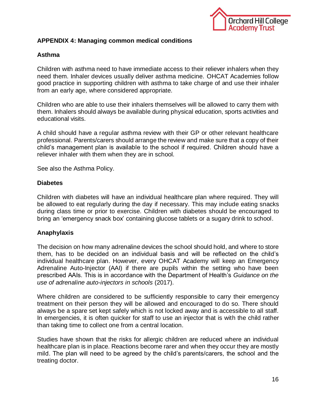

# **APPENDIX 4: Managing common medical conditions**

#### **Asthma**

Children with asthma need to have immediate access to their reliever inhalers when they need them. Inhaler devices usually deliver asthma medicine. OHCAT Academies follow good practice in supporting children with asthma to take charge of and use their inhaler from an early age, where considered appropriate.

Children who are able to use their inhalers themselves will be allowed to carry them with them. Inhalers should always be available during physical education, sports activities and educational visits.

A child should have a regular asthma review with their GP or other relevant healthcare professional. Parents/carers should arrange the review and make sure that a copy of their child's management plan is available to the school if required. Children should have a reliever inhaler with them when they are in school.

See also the Asthma Policy.

#### **Diabetes**

Children with diabetes will have an individual healthcare plan where required. They will be allowed to eat regularly during the day if necessary. This may include eating snacks during class time or prior to exercise. Children with diabetes should be encouraged to bring an 'emergency snack box' containing glucose tablets or a sugary drink to school.

#### **Anaphylaxis**

The decision on how many adrenaline devices the school should hold, and where to store them, has to be decided on an individual basis and will be reflected on the child's individual healthcare plan. However, every OHCAT Academy will keep an Emergency Adrenaline Auto-Injector (AAI) if there are pupils within the setting who have been prescribed AAIs. This is in accordance with the Department of Health's *Guidance on the use of adrenaline auto-injectors in schools* (2017).

Where children are considered to be sufficiently responsible to carry their emergency treatment on their person they will be allowed and encouraged to do so. There should always be a spare set kept safely which is not locked away and is accessible to all staff. In emergencies, it is often quicker for staff to use an injector that is with the child rather than taking time to collect one from a central location.

Studies have shown that the risks for allergic children are reduced where an individual healthcare plan is in place. Reactions become rarer and when they occur they are mostly mild. The plan will need to be agreed by the child's parents/carers, the school and the treating doctor.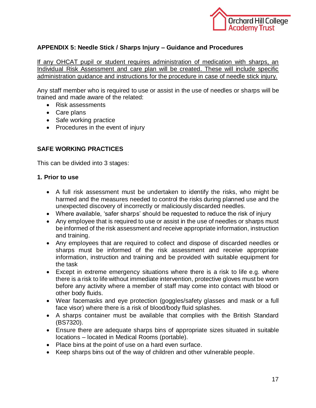

# **APPENDIX 5: Needle Stick / Sharps Injury – Guidance and Procedures**

If any OHCAT pupil or student requires administration of medication with sharps, an Individual Risk Assessment and care plan will be created. These will include specific administration guidance and instructions for the procedure in case of needle stick injury.

Any staff member who is required to use or assist in the use of needles or sharps will be trained and made aware of the related:

- Risk assessments
- Care plans
- Safe working practice
- Procedures in the event of injury

# **SAFE WORKING PRACTICES**

This can be divided into 3 stages:

#### **1. Prior to use**

- A full risk assessment must be undertaken to identify the risks, who might be harmed and the measures needed to control the risks during planned use and the unexpected discovery of incorrectly or maliciously discarded needles.
- Where available, 'safer sharps' should be requested to reduce the risk of injury
- Any employee that is required to use or assist in the use of needles or sharps must be informed of the risk assessment and receive appropriate information, instruction and training.
- Any employees that are required to collect and dispose of discarded needles or sharps must be informed of the risk assessment and receive appropriate information, instruction and training and be provided with suitable equipment for the task
- Except in extreme emergency situations where there is a risk to life e.g. where there is a risk to life without immediate intervention, protective gloves must be worn before any activity where a member of staff may come into contact with blood or other body fluids.
- Wear facemasks and eye protection (goggles/safety glasses and mask or a full face visor) where there is a risk of blood/body fluid splashes.
- A sharps container must be available that complies with the British Standard (BS7320).
- Ensure there are adequate sharps bins of appropriate sizes situated in suitable locations – located in Medical Rooms (portable).
- Place bins at the point of use on a hard even surface.
- Keep sharps bins out of the way of children and other vulnerable people.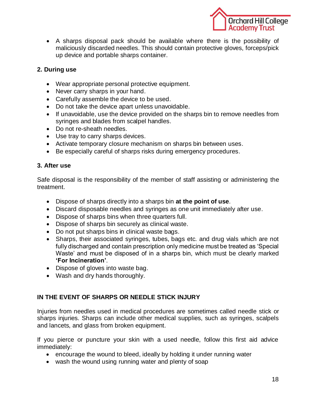

 A sharps disposal pack should be available where there is the possibility of maliciously discarded needles. This should contain protective gloves, forceps/pick up device and portable sharps container.

# **2. During use**

- Wear appropriate personal protective equipment.
- Never carry sharps in your hand.
- Carefully assemble the device to be used.
- Do not take the device apart unless unavoidable.
- If unavoidable, use the device provided on the sharps bin to remove needles from syringes and blades from scalpel handles.
- Do not re-sheath needles.
- Use tray to carry sharps devices.
- Activate temporary closure mechanism on sharps bin between uses.
- Be especially careful of sharps risks during emergency procedures.

# **3. After use**

Safe disposal is the responsibility of the member of staff assisting or administering the treatment.

- Dispose of sharps directly into a sharps bin **at the point of use**.
- Discard disposable needles and syringes as one unit immediately after use.
- Dispose of sharps bins when three quarters full.
- Dispose of sharps bin securely as clinical waste.
- Do not put sharps bins in clinical waste bags.
- Sharps, their associated syringes, tubes, bags etc. and drug vials which are not fully discharged and contain prescription only medicine must be treated as 'Special Waste' and must be disposed of in a sharps bin, which must be clearly marked **'For Incineration'**.
- Dispose of gloves into waste bag.
- Wash and dry hands thoroughly.

# **IN THE EVENT OF SHARPS OR NEEDLE STICK INJURY**

Injuries from needles used in medical procedures are sometimes called needle stick or sharps injuries. Sharps can include other medical supplies, such as syringes, scalpels and lancets, and glass from broken equipment.

If you pierce or puncture your skin with a used needle, follow this first aid advice immediately:

- encourage the wound to bleed, ideally by holding it under running water
- wash the wound using running water and plenty of soap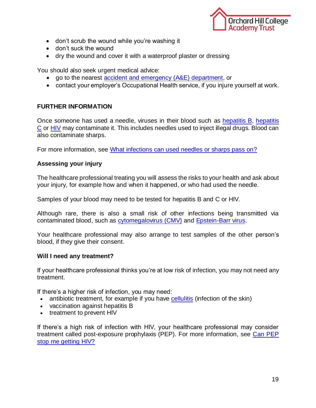

- don't scrub the wound while you're washing it
- don't suck the wound
- dry the wound and cover it with a waterproof plaster or dressing

You should also seek urgent medical advice:

- go to the nearest [accident and emergency \(A&E\) department,](http://www.nhs.uk/servicedirectories/Pages/ServiceSearch.aspx?ServiceType=AandE) or
- contact your employer's Occupational Health service, if you injure yourself at work.

#### **FURTHER INFORMATION**

Once someone has used a needle, viruses in their blood such as [hepatitis B,](http://www.nhs.uk/conditions/hepatitis-b/pages/introduction.aspx) [hepatitis](http://www.nhs.uk/conditions/hepatitis-c/pages/introduction.aspx)  [C](http://www.nhs.uk/conditions/hepatitis-c/pages/introduction.aspx) or [HIV](http://www.nhs.uk/conditions/hiv/pages/introduction.aspx) may contaminate it. This includes needles used to inject illegal drugs. Blood can also contaminate sharps.

For more information, see [What infections can used needles or sharps pass on?](http://www.nhs.uk/chq/Pages/infections-from-used-needles-or-sharps.aspx)

#### **Assessing your injury**

The healthcare professional treating you will assess the risks to your health and ask about your injury, for example how and when it happened, or who had used the needle.

Samples of your blood may need to be tested for hepatitis B and C or HIV.

Although rare, there is also a small risk of other infections being transmitted via contaminated blood, such as [cytomegalovirus \(CMV\)](http://www.nhs.uk/Conditions/Cytomegalovirus/Pages/Introduction.aspx) and [Epstein-Barr virus.](http://www.nhs.uk/conditions/Glandular-fever/Pages/Introduction.aspx#Epstein-Barr)

Your healthcare professional may also arrange to test samples of the other person's blood, if they give their consent.

#### **Will I need any treatment?**

If your healthcare professional thinks you're at low risk of infection, you may not need any treatment.

If there's a higher risk of infection, you may need:

- antibiotic treatment, for example if you have [cellulitis](http://www.nhs.uk/conditions/cellulitis/pages/introduction.aspx) (infection of the skin)
- vaccination against hepatitis B
- treatment to prevent HIV

If there's a high risk of infection with HIV, your healthcare professional may consider treatment called post-exposure prophylaxis (PEP). For more information, see [Can PEP](http://www.nhs.uk/chq/pages/1840.aspx?categoryid=118&subcategoryid=126)  [stop me getting HIV?](http://www.nhs.uk/chq/pages/1840.aspx?categoryid=118&subcategoryid=126)